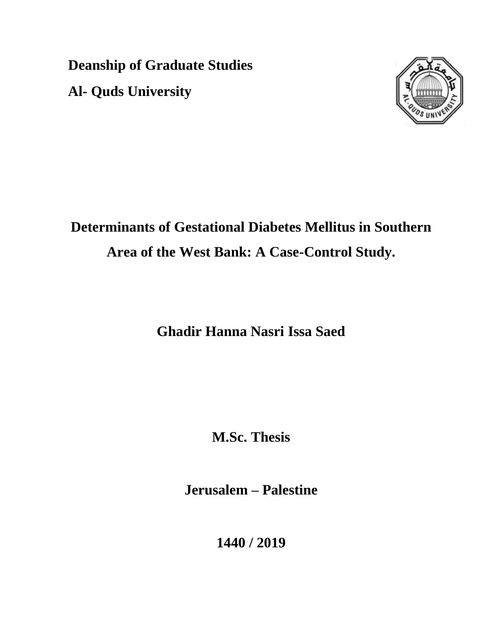**Deanship of Graduate Studies Al- Quds University**



# **Determinants of Gestational Diabetes Mellitus in Southern Area of the West Bank: A Case-Control Study.**

**Ghadir Hanna Nasri Issa Saed**

**M.Sc. Thesis**

**Jerusalem – Palestine**

**1440 / 2019**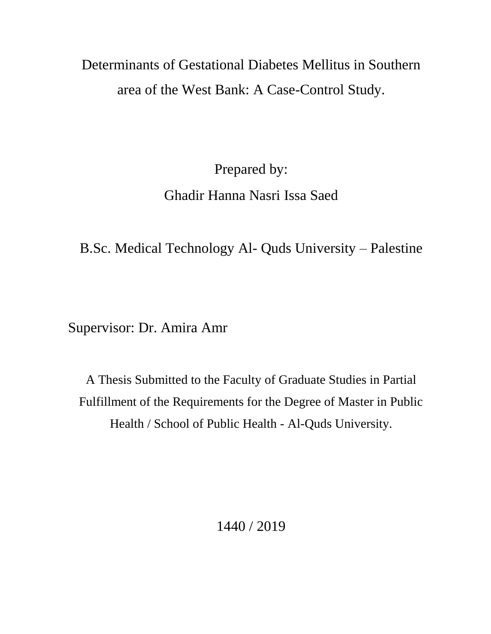# Determinants of Gestational Diabetes Mellitus in Southern area of the West Bank: A Case-Control Study.

Prepared by:

## Ghadir Hanna Nasri Issa Saed

B.Sc. Medical Technology Al- Quds University – Palestine

Supervisor: Dr. Amira Amr

A Thesis Submitted to the Faculty of Graduate Studies in Partial Fulfillment of the Requirements for the Degree of Master in Public Health / School of Public Health - Al-Quds University.

1440 / 2019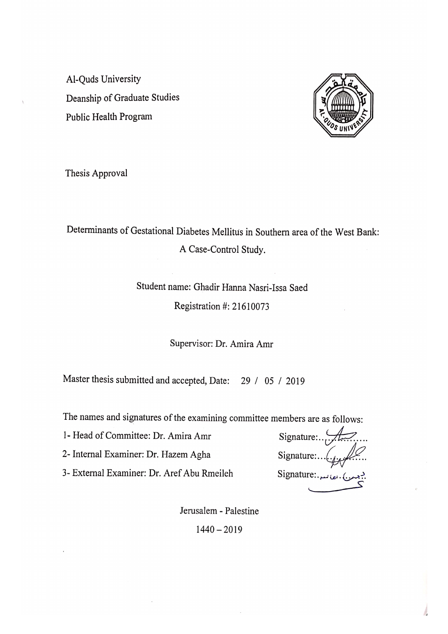Al-Ouds University Deanship of Graduate Studies Public Health Program



Thesis Approval

Determinants of Gestational Diabetes Mellitus in Southern area of the West Bank: A Case-Control Study.

## Student name: Ghadir Hanna Nasri-Issa Saed Registration #: 21610073

Supervisor: Dr. Amira Amr

Master thesis submitted and accepted, Date: 29 / 05 / 2019

The names and signatures of the examining committee members are as follows:

1- Head of Committee: Dr. Amira Amr

2- Internal Examiner: Dr. Hazem Agha

3- External Examiner: Dr. Aref Abu Rmeileh

Signature:  $\mathcal{A}$ . Signature:... $\left(\cdot_{i\in\mathcal{I}}\right)$ Signature: مصانعیہ، ایک Signature

Jerusalem - Palestine  $1440 - 2019$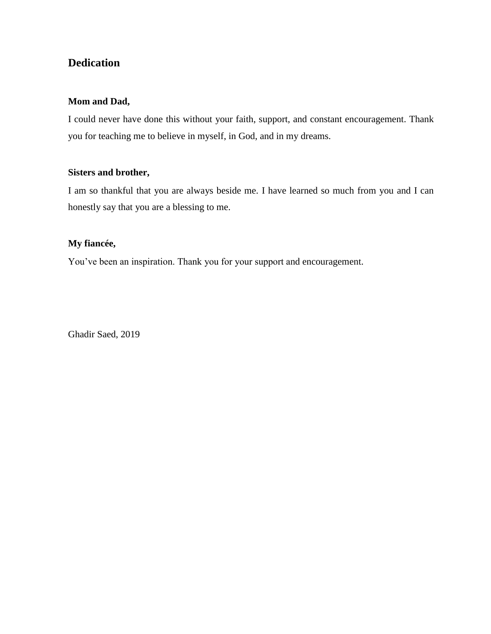#### **Dedication**

#### **Mom and Dad,**

I could never have done this without your faith, support, and constant encouragement. Thank you for teaching me to believe in myself, in God, and in my dreams.

#### **Sisters and brother,**

I am so thankful that you are always beside me. I have learned so much from you and I can honestly say that you are a blessing to me.

#### **My fiancée,**

You've been an inspiration. Thank you for your support and encouragement.

Ghadir Saed, 2019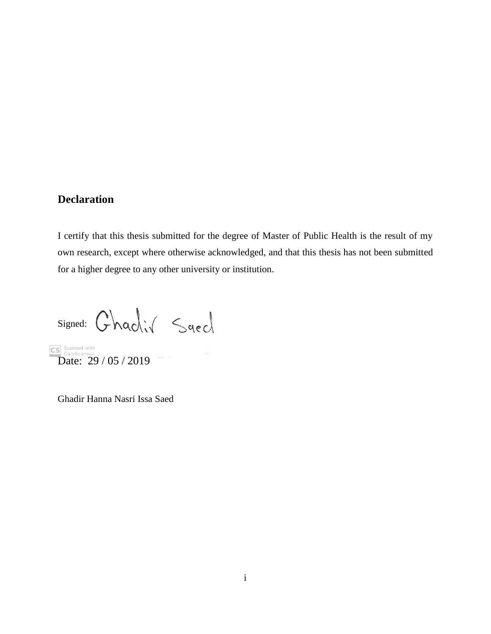#### <span id="page-4-0"></span>**Declaration**

I certify that this thesis submitted for the degree of Master of Public Health is the result of my own research, except where otherwise acknowledged, and that this thesis has not been submitted for a higher degree to any other university or institution.

signed: Ghadiv Saed

CS Scanned with<br>Date: 29 / 05 / 2019

Ghadir Hanna Nasri Issa Saed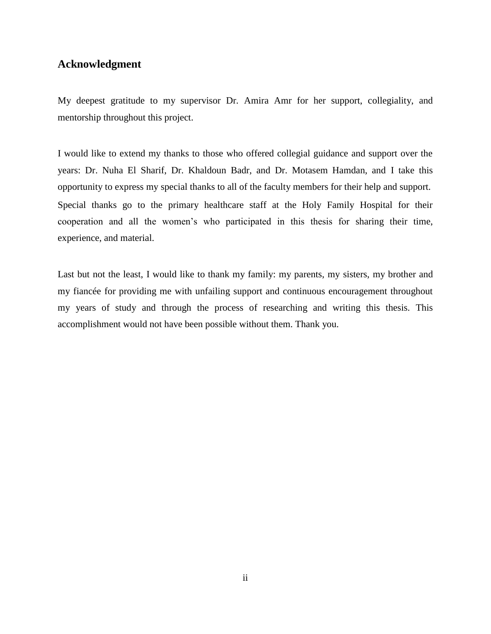#### <span id="page-5-0"></span>**Acknowledgment**

My deepest gratitude to my supervisor Dr. Amira Amr for her support, collegiality, and mentorship throughout this project.

I would like to extend my thanks to those who offered collegial guidance and support over the years: Dr. Nuha El Sharif, Dr. Khaldoun Badr, and Dr. Motasem Hamdan, and I take this opportunity to express my special thanks to all of the faculty members for their help and support. Special thanks go to the primary healthcare staff at the Holy Family Hospital for their cooperation and all the women's who participated in this thesis for sharing their time, experience, and material.

Last but not the least, I would like to thank my family: my parents, my sisters, my brother and my fiancée for providing me with unfailing support and continuous encouragement throughout my years of study and through the process of researching and writing this thesis. This accomplishment would not have been possible without them. Thank you.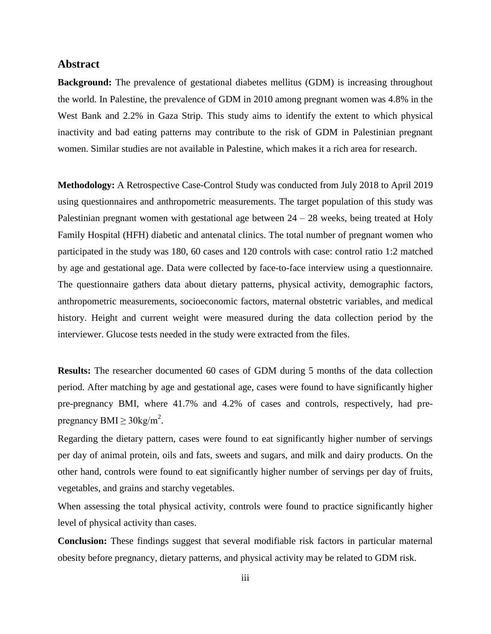#### <span id="page-6-0"></span>**Abstract**

**Background:** The prevalence of gestational diabetes mellitus (GDM) is increasing throughout the world. In Palestine, the prevalence of GDM in 2010 among pregnant women was 4.8% in the West Bank and 2.2% in Gaza Strip. This study aims to identify the extent to which physical inactivity and bad eating patterns may contribute to the risk of GDM in Palestinian pregnant women. Similar studies are not available in Palestine, which makes it a rich area for research.

**Methodology:** A Retrospective Case-Control Study was conducted from July 2018 to April 2019 using questionnaires and anthropometric measurements. The target population of this study was Palestinian pregnant women with gestational age between  $24 - 28$  weeks, being treated at Holy Family Hospital (HFH) diabetic and antenatal clinics. The total number of pregnant women who participated in the study was 180, 60 cases and 120 controls with case: control ratio 1:2 matched by age and gestational age. Data were collected by face-to-face interview using a questionnaire. The questionnaire gathers data about dietary patterns, physical activity, demographic factors, anthropometric measurements, socioeconomic factors, maternal obstetric variables, and medical history. Height and current weight were measured during the data collection period by the interviewer. Glucose tests needed in the study were extracted from the files.

**Results:** The researcher documented 60 cases of GDM during 5 months of the data collection period. After matching by age and gestational age, cases were found to have significantly higher pre-pregnancy BMI, where 41.7% and 4.2% of cases and controls, respectively, had prepregnancy BMI  $\geq$  30kg/m<sup>2</sup>.

Regarding the dietary pattern, cases were found to eat significantly higher number of servings per day of animal protein, oils and fats, sweets and sugars, and milk and dairy products. On the other hand, controls were found to eat significantly higher number of servings per day of fruits, vegetables, and grains and starchy vegetables.

When assessing the total physical activity, controls were found to practice significantly higher level of physical activity than cases.

**Conclusion:** These findings suggest that several modifiable risk factors in particular maternal obesity before pregnancy, dietary patterns, and physical activity may be related to GDM risk.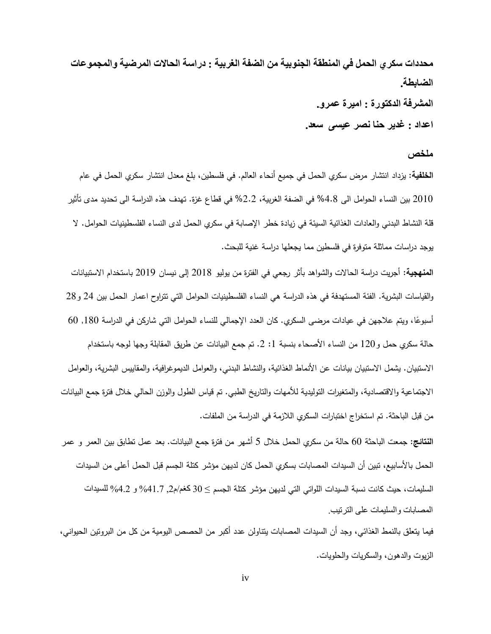**محذدات سكري الحمل فً المنطقة الجنوبٍة من الضفة الغربٍة : دراسة الحاالت المرضٍة والمجموعات الضابطة. المشرفة الذكتورة : امٍرة عمرو.**

**اعذاد : غذٌر حنا نصر عٍسى سعذ.**

#### <span id="page-7-0"></span>**ملخص**

ا**لخلفية:** يزداد انتشار مرض سكري الحمل في جميع أنحاء العالم. في فلسطين، بلغ معدل انتشار سكري الحمل في عام 0202 بين النساء الحوامل الى %8.4 في الضفة الغربية، %0.0 في قطاع غزة. تيدف ىذه الدراسة الى تحديد مدى تأثير قلة النشاط البدني والعادات الغذائية السيئة في زيادة خطر الإصابة في سكري الحمل لدى النساء الفلسطينيات الحوامل. لا يوجد دراسات مماثلة متوفرة في فلسطين مما يجعلها دراسة غنية للبحث.

**المنهجية:** أجريت دراسة الحاالت والشواىد بأثر رجعي في الفترة من يوليو 0204 إلى نيسان 0209 باستخدام االستبيانات والقياسات البشرية. الفئة المستهدفة في هذه الدراسة هي النساء الفلسطينيات الحوامل التي تتراوح اعمار الحمل بين 24 و28 أسبوعًا، ويتم علاجهن في عيادات مرضى السكري. كان العدد الإجمالي للنساء الحوامل التي شاركن في الدراسة 180, 60 حالة سكري حمل و120 من النساء الأصحاء بنسبة 1: 2. تم جمع البيانات عن طريق المقابلة وجها لوجه باستخدام االستبيان. يشمل االستبيان بيانات عن األنماط الغذائية، والنشاط البدني، والعوامل الديموغرافية، والمقاييس البشرية، والعوامل االجتماعية واالقتصادية، والمتغيرات التوليدية لألميات والتاريخ الطبي. تم قياس الطول والوزن الحالي خالل فترة جمع البيانات من قبل الباحثة. تم استخراج اختبارات السكري الالز مة في الدراسة من الممفات**.**

**النتائج:** جمعت الباحثة 02 حالة من سكري الحمل خالل 5 أشير من فترة جمع البيانات. بعد عمل تطابق بين العمر و عمر الحمل بالأسابيع، تبين أن السيدات المصابات بسكري الحمل كان لديهن مؤشر كتلة الجسم قبل الحمل أعلى من السيدات السليمات، حيث كانت نسبة السيدات اللواتي التي لديهن مؤشر كتلة الجسم ≥ 30 كغم/م2, 4.7%% و 4.2% للسيدات المصابات والسليمات على الترتيب

فيما يتعمق بالنمط الغذائي، وجد أن السيدات المصابات يتناولن عدد أكبر من الحصص اليومية من كل من البروتين الحيواني، الزيوت والدىون، والسكريات والحمويات.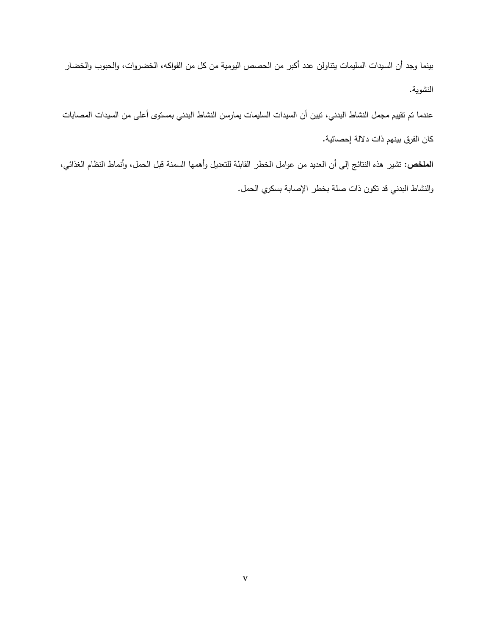بينما وجد أن السيدات السميمات يتناولن عدد أكبر من الحصص اليومية من كل من الفواكو، الخضروات، والحبوب والخضار النشوية.

عندما تم تقييم مجمل النشاط البدني، تبين أن السيدات السميمات يمارسن النشاط البدني بمستوى أعمى من السيدات المصابات كان الفرق بينيم ذات داللة إحصائية.

ا**لملخص:** تشير هذه النتائج إلى أن العديد من عوامل الخطر القابلة للتعديل وأهمها السمنة قبل الحمل، وأنماط النظام الغذائي، والنشاط البدني قد تكون ذات صمة بخطر اإلصابة بسكري الحمل.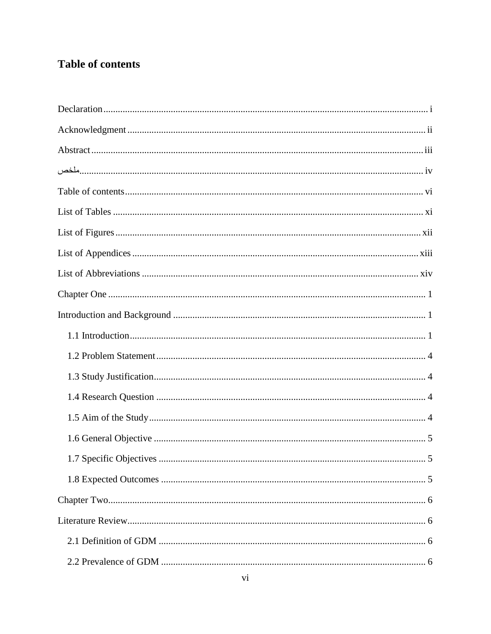### <span id="page-9-0"></span>**Table of contents**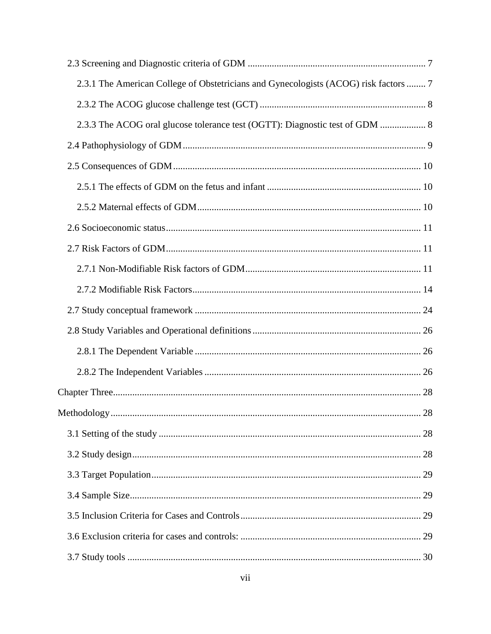| 2.3.1 The American College of Obstetricians and Gynecologists (ACOG) risk factors  7 |  |
|--------------------------------------------------------------------------------------|--|
|                                                                                      |  |
| 2.3.3 The ACOG oral glucose tolerance test (OGTT): Diagnostic test of GDM  8         |  |
|                                                                                      |  |
|                                                                                      |  |
|                                                                                      |  |
|                                                                                      |  |
|                                                                                      |  |
|                                                                                      |  |
|                                                                                      |  |
|                                                                                      |  |
|                                                                                      |  |
|                                                                                      |  |
|                                                                                      |  |
|                                                                                      |  |
|                                                                                      |  |
| Methodology.<br>28                                                                   |  |
|                                                                                      |  |
|                                                                                      |  |
|                                                                                      |  |
|                                                                                      |  |
|                                                                                      |  |
|                                                                                      |  |
|                                                                                      |  |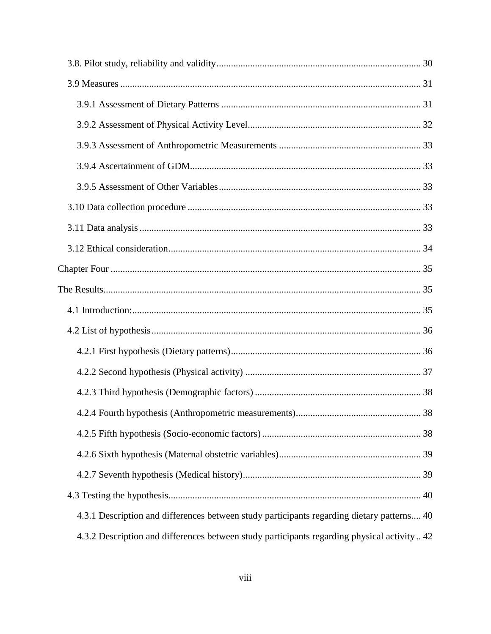| 4.3.1 Description and differences between study participants regarding dietary patterns 40  |  |
|---------------------------------------------------------------------------------------------|--|
| 4.3.2 Description and differences between study participants regarding physical activity 42 |  |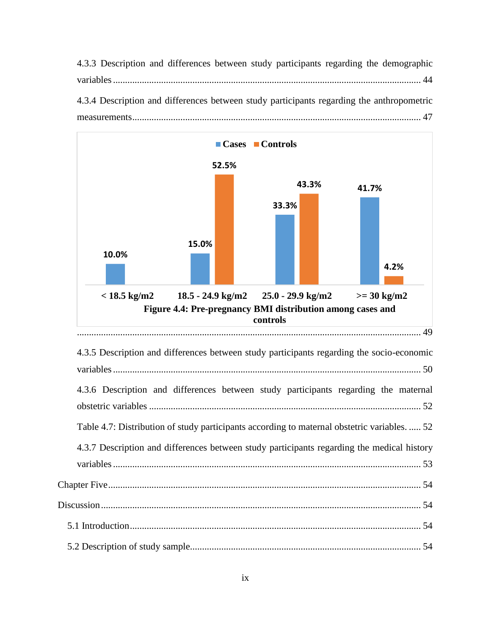4.3.3 Description and differences between study participants regarding the demographic variables................................................................................................................................ 44 4.3.4 Description and differences between study participants regarding the anthropometric measurements........................................................................................................................ 47